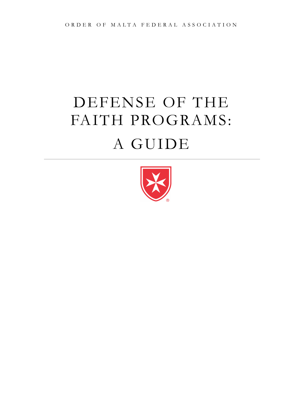# DEFENSE OF THE FAITH PROGRAMS: A GUIDE

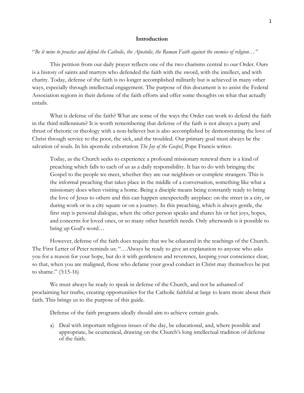#### **Introduction**

## "*Be it mine to practice and defend the Catholic, the Apostolic, the Roman Faith against the enemies of religion…"*

This petition from our daily prayer reflects one of the two charisms central to our Order. Ours is a history of saints and martyrs who defended the faith with the sword, with the intellect, and with charity. Today, defense of the faith is no longer accomplished militarily but is achieved in many other ways, especially through intellectual engagement. The purpose of this document is to assist the Federal Association regions in their defense of the faith efforts and offer some thoughts on what that actually entails.

What is defense of the faith? What are some of the ways the Order can work to defend the faith in the third millennium? It is worth remembering that defense of the faith is not always a parry and thrust of rhetoric or theology with a non-believer but is also accomplished by demonstrating the love of Christ through service to the poor, the sick, and the troubled. Our primary goal must always be the salvation of souls. In his apostolic exhortation *The Joy of the Gospel*, Pope Francis writes:

Today, as the Church seeks to experience a profound missionary renewal there is a kind of preaching which falls to each of us as a daily responsibility. It has to do with bringing the Gospel to the people we meet, whether they are our neighbors or complete strangers. This is the informal preaching that takes place in the middle of a conversation, something like what a missionary does when visiting a home. Being a disciple means being constantly ready to bring the love of Jesus to others and this can happen unexpectedly anyplace: on the street in a city, or during work or in a city square or on a journey. In this preaching, which is always gentle, the first step is personal dialogue, when the other person speaks and shares his or her joys, hopes, and concerns for loved ones, or so many other heartfelt needs. Only afterwards is it possible to bring up God's word…

However, defense of the faith does require that we be educated in the teachings of the Church. The First Letter of Peter reminds us: "…Always be ready to give an explanation to anyone who asks you for a reason for your hope, but do it with gentleness and reverence, keeping your conscience clear, so that, when you are maligned, those who defame your good conduct in Christ may themselves be put to shame." (3:15-16)

We must always be ready to speak in defense of the Church, and not be ashamed of proclaiming her truths, creating opportunities for the Catholic faithful at large to learn more about their faith. This brings us to the purpose of this guide.

Defense of the faith programs ideally should aim to achieve certain goals.

a) Deal with important religious issues of the day, be educational, and, where possible and appropriate, be ecumenical, drawing on the Church's long intellectual tradition of defense of the faith.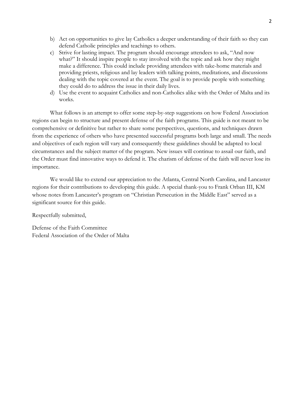- b) Act on opportunities to give lay Catholics a deeper understanding of their faith so they can defend Catholic principles and teachings to others.
- c) Strive for lasting impact. The program should encourage attendees to ask, "And now what?" It should inspire people to stay involved with the topic and ask how they might make a difference. This could include providing attendees with take-home materials and providing priests, religious and lay leaders with talking points, meditations, and discussions dealing with the topic covered at the event. The goal is to provide people with something they could do to address the issue in their daily lives.
- d) Use the event to acquaint Catholics and non-Catholics alike with the Order of Malta and its works.

What follows is an attempt to offer some step-by-step suggestions on how Federal Association regions can begin to structure and present defense of the faith programs. This guide is not meant to be comprehensive or definitive but rather to share some perspectives, questions, and techniques drawn from the experience of others who have presented successful programs both large and small. The needs and objectives of each region will vary and consequently these guidelines should be adapted to local circumstances and the subject matter of the program. New issues will continue to assail our faith, and the Order must find innovative ways to defend it. The charism of defense of the faith will never lose its importance.

We would like to extend our appreciation to the Atlanta, Central North Carolina, and Lancaster regions for their contributions to developing this guide. A special thank-you to Frank Orban III, KM whose notes from Lancaster's program on "Christian Persecution in the Middle East" served as a significant source for this guide.

Respectfully submitted,

Defense of the Faith Committee Federal Association of the Order of Malta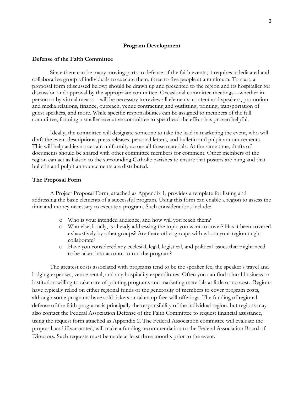#### **Program Development**

#### **Defense of the Faith Committee**

Since there can be many moving parts to defense of the faith events, it requires a dedicated and collaborative group of individuals to execute them, three to five people at a minimum. To start, a proposal form (discussed below) should be drawn up and presented to the region and its hospitaller for discussion and approval by the appropriate committee. Occasional committee meetings—whether inperson or by virtual means—will be necessary to review all elements: content and speakers, promotion and media relations, finance, outreach, venue contracting and outfitting, printing, transportation of guest speakers, and more. While specific responsibilities can be assigned to members of the full committee, forming a smaller executive committee to spearhead the effort has proven helpful.

Ideally, the committee will designate someone to take the lead in marketing the event, who will draft the event descriptions, press releases, personal letters, and bulletin and pulpit announcements. This will help achieve a certain uniformity across all these materials. At the same time, drafts of documents should be shared with other committee members for comment. Other members of the region can act as liaison to the surrounding Catholic parishes to ensure that posters are hung and that bulletin and pulpit announcements are distributed.

#### **The Proposal Form**

A Project Proposal Form, attached as Appendix 1, provides a template for listing and addressing the basic elements of a successful program. Using this form can enable a region to assess the time and money necessary to execute a program. Such considerations include:

- o Who is your intended audience, and how will you reach them?
- o Who else, locally, is already addressing the topic you want to cover? Has it been covered exhaustively by other groups? Are there other groups with whom your region might collaborate?
- o Have you considered any ecclesial, legal, logistical, and political issues that might need to be taken into account to run the program?

The greatest costs associated with programs tend to be the speaker fee, the speaker's travel and lodging expenses, venue rental, and any hospitality expenditures. Often you can find a local business or institution willing to take care of printing programs and marketing materials at little or no cost. Regions have typically relied on either regional funds or the generosity of members to cover program costs, although some programs have sold tickets or taken up free-will offerings. The funding of regional defense of the faith programs is principally the responsibility of the individual region, but regions may also contact the Federal Association Defense of the Faith Committee to request financial assistance, using the request form attached as Appendix 2. The Federal Association committee will evaluate the proposal, and if warranted, will make a funding recommendation to the Federal Association Board of Directors. Such requests must be made at least three months prior to the event.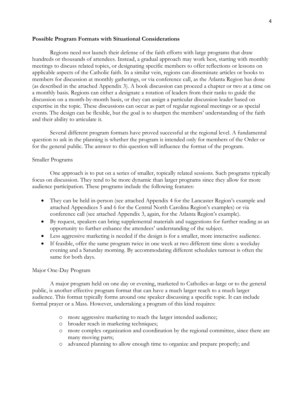#### **Possible Program Formats with Situational Considerations**

Regions need not launch their defense of the faith efforts with large programs that draw hundreds or thousands of attendees. Instead, a gradual approach may work best, starting with monthly meetings to discuss related topics, or designating specific members to offer reflections or lessons on applicable aspects of the Catholic faith. In a similar vein, regions can disseminate articles or books to members for discussion at monthly gatherings, or via conference call, as the Atlanta Region has done (as described in the attached Appendix 3). A book discussion can proceed a chapter or two at a time on a monthly basis. Regions can either a designate a rotation of leaders from their ranks to guide the discussion on a month-by-month basis, or they can assign a particular discussion leader based on expertise in the topic. These discussions can occur as part of regular regional meetings or as special events. The design can be flexible, but the goal is to sharpen the members' understanding of the faith and their ability to articulate it.

Several different program formats have proved successful at the regional level. A fundamental question to ask in the planning is whether the program is intended only for members of the Order or for the general public. The answer to this question will influence the format of the program.

#### Smaller Programs

One approach is to put on a series of smaller, topically related sessions. Such programs typically focus on discussion. They tend to be more dynamic than larger programs since they allow for more audience participation. These programs include the following features:

- They can be held in-person (see attached Appendix 4 for the Lancaster Region's example and attached Appendices 5 and 6 for the Central North Carolina Region's examples) or via conference call (see attached Appendix 3, again, for the Atlanta Region's example).
- By request, speakers can bring supplemental materials and suggestions for further reading as an opportunity to further enhance the attendees' understanding of the subject.
- Less aggressive marketing is needed if the design is for a smaller, more interactive audience.
- If feasible, offer the same program twice in one week at two different time slots: a weekday evening and a Saturday morning. By accommodating different schedules turnout is often the same for both days.

#### Major One-Day Program

A major program held on one day or evening, marketed to Catholics-at-large or to the general public, is another effective program format that can have a much larger reach to a much larger audience. This format typically forms around one speaker discussing a specific topic. It can include formal prayer or a Mass. However, undertaking a program of this kind requires:

- o more aggressive marketing to reach the larger intended audience;
- o broader reach in marketing techniques;
- o more complex organization and coordination by the regional committee, since there are many moving parts;
- o advanced planning to allow enough time to organize and prepare properly; and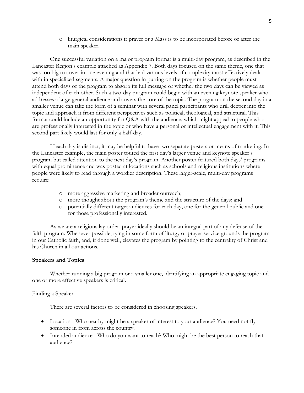o liturgical considerations if prayer or a Mass is to be incorporated before or after the main speaker.

One successful variation on a major program format is a multi-day program, as described in the Lancaster Region's example attached as Appendix 7. Both days focused on the same theme, one that was too big to cover in one evening and that had various levels of complexity most effectively dealt with in specialized segments. A major question in putting on the program is whether people must attend both days of the program to absorb its full message or whether the two days can be viewed as independent of each other. Such a two-day program could begin with an evening keynote speaker who addresses a large general audience and covers the core of the topic. The program on the second day in a smaller venue can take the form of a seminar with several panel participants who drill deeper into the topic and approach it from different perspectives such as political, theological, and structural. This format could include an opportunity for Q&A with the audience, which might appeal to people who are professionally interested in the topic or who have a personal or intellectual engagement with it. This second part likely would last for only a half-day.

If each day is distinct, it may be helpful to have two separate posters or means of marketing. In the Lancaster example, the main poster touted the first day's larger venue and keynote speaker's program but called attention to the next day's program. Another poster featured both days' programs with equal prominence and was posted at locations such as schools and religious institutions where people were likely to read through a wordier description. These larger-scale, multi-day programs require:

- o more aggressive marketing and broader outreach;
- o more thought about the program's theme and the structure of the days; and
- o potentially different target audiences for each day, one for the general public and one for those professionally interested.

As we are a religious lay order, prayer ideally should be an integral part of any defense of the faith program. Whenever possible, tying in some form of liturgy or prayer service grounds the program in our Catholic faith, and, if done well, elevates the program by pointing to the centrality of Christ and his Church in all our actions.

#### **Speakers and Topics**

Whether running a big program or a smaller one, identifying an appropriate engaging topic and one or more effective speakers is critical.

#### Finding a Speaker

There are several factors to be considered in choosing speakers.

- Location Who nearby might be a speaker of interest to your audience? You need not fly someone in from across the country.
- Intended audience Who do you want to reach? Who might be the best person to reach that audience?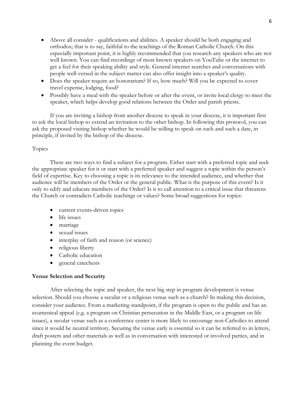- Above all consider qualifications and abilities. A speaker should be both engaging and orthodox; that is to say, faithful to the teachings of the Roman Catholic Church. On this especially important point, it is highly recommended that you research any speakers who are not well known. You can find recordings of most known speakers on YouTube or the internet to get a feel for their speaking ability and style. General internet searches and conversations with people well-versed in the subject matter can also offer insight into a speaker's quality.
- Does the speaker require an honorarium? If so, how much? Will you be expected to cover travel expense, lodging, food?
- Possibly have a meal with the speaker before or after the event, or invite local clergy to meet the speaker, which helps develop good relations between the Order and parish priests.

If you are inviting a bishop from another diocese to speak in your diocese, it is important first to ask the local bishop to extend an invitation to the other bishop. In following this protocol, you can ask the proposed visiting bishop whether he would be willing to speak on such and such a date, in principle, if invited by the bishop of the diocese.

## Topics

There are two ways to find a subject for a program. Either start with a preferred topic and seek the appropriate speaker for it or start with a preferred speaker and suggest a topic within the person's field of expertise. Key to choosing a topic is its relevance to the intended audience, and whether that audience will be members of the Order or the general public. What is the purpose of this event? Is it only to edify and educate members of the Order? Is it to call attention to a critical issue that threatens the Church or contradicts Catholic teachings or values? Some broad suggestions for topics:

- current events-driven topics
- life issues
- marriage
- sexual issues
- interplay of faith and reason (or science)
- religious liberty
- Catholic education
- general catechesis

## **Venue Selection and Security**

After selecting the topic and speaker, the next big step in program development is venue selection. Should you choose a secular or a religious venue such as a church? In making this decision, consider your audience. From a marketing standpoint, if the program is open to the public and has an ecumenical appeal (e.g. a program on Christian persecution in the Middle East, or a program on life issues), a secular venue such as a conference center is more likely to encourage non-Catholics to attend since it would be neutral territory. Securing the venue early is essential so it can be referred to in letters, draft posters and other materials as well as in conversation with interested or involved parties, and in planning the event budget.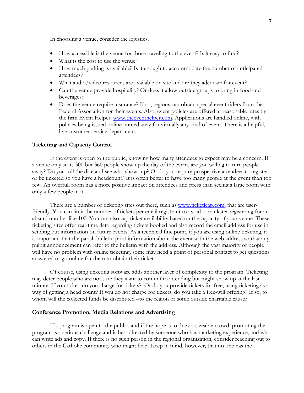In choosing a venue, consider the logistics.

- How accessible is the venue for those traveling to the event? Is it easy to find?
- What is the cost to use the venue?
- How much parking is available? Is it enough to accommodate the number of anticipated attendees?
- What audio/video resources are available on site and are they adequate for event?
- Can the venue provide hospitality? Or does it allow outside groups to bring in food and beverages?
- Does the venue require insurance? If so, regions can obtain special event riders from the Federal Association for their events. Also, event policies are offered at reasonable rates by the firm Event Helper: [www.theeventhelper.com.](http://www.theeventhelper.com/) Applications are handled online, with policies being issued online immediately for virtually any kind of event. There is a helpful, live customer service department.

### **Ticketing and Capacity Control**

If the event is open to the public, knowing how many attendees to expect may be a concern. If a venue only seats 300 but 360 people show up the day of the event, are you willing to turn people away? Do you roll the dice and see who shows up? Or do you require prospective attendees to register or be ticketed so you have a headcount? It is often better to have too many people at the event than too few. An overfull room has a more positive impact on attendees and press than seeing a large room with only a few people in it.

There are a number of ticketing sites out there, such as [www.ticketleap.com,](http://www.ticketleap.com/) that are userfriendly. You can limit the number of tickets per email registrant to avoid a prankster registering for an absurd number like 100. You can also cap ticket availability based on the capacity of your venue. These ticketing sites offer real-time data regarding tickets booked and also record the email address for use in sending out information on future events. As a technical fine point, if you are using online ticketing, it is important that the parish bulletin print information about the event with the web address so that any pulpit announcement can refer to the bulletin with the address. Although the vast majority of people will have no problem with online ticketing, some may need a point of personal contact to get questions answered or go online for them to obtain their ticket.

Of course, using ticketing software adds another layer of complexity to the program. Ticketing may deter people who are not sure they want to commit to attending but might show up at the last minute. If you ticket, do you charge for tickets? Or do you provide tickets for free, using ticketing as a way of getting a head count? If you do not charge for tickets, do you take a free-will offering? If so, to whom will the collected funds be distributed –to the region or some outside charitable cause?

#### **Conference Promotion, Media Relations and Advertising**

If a program is open to the public, and if the hope is to draw a sizeable crowd, promoting the program is a serious challenge and is best directed by someone who has marketing experience, and who can write ads and copy. If there is no such person in the regional organization, consider reaching out to others in the Catholic community who might help. Keep in mind, however, that no one has the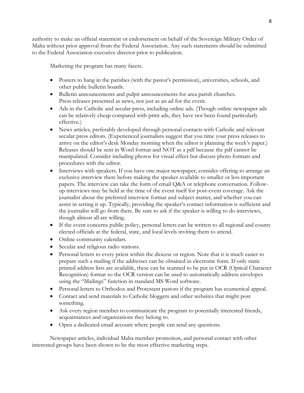authority to make an official statement or endorsement on behalf of the Sovereign Military Order of Malta without prior approval from the Federal Association. Any such statements should be submitted to the Federal Association executive director prior to publication.

Marketing the program has many facets.

- Posters to hang in the parishes (with the pastor's permission), universities, schools, and other public bulletin boards.
- Bulletin announcements and pulpit announcements for area parish churches. Press releases presented as news, not just as an ad for the event.
- Ads in the Catholic and secular press, including online ads. (Though online newspaper ads can be relatively cheap compared with print ads, they have not been found particularly effective.)
- News articles, preferably developed through personal contacts with Catholic and relevant secular press editors. (Experienced journalists suggest that you time your press releases to arrive on the editor's desk Monday morning when the editor is planning the week's paper.) Releases should be sent in Word format and NOT as a pdf because the pdf cannot be manipulated. Consider including photos for visual effect but discuss photo formats and procedures with the editor.
- Interviews with speakers. If you have one major newspaper, consider offering to arrange an exclusive interview there before making the speaker available to smaller or less important papers. The interview can take the form of email Q&A or telephone conversation. Followup interviews may be held at the time of the event itself for post-event coverage. Ask the journalist about the preferred interview format and subject matter, and whether you can assist in setting it up. Typically, providing the speaker's contact information is sufficient and the journalist will go from there. Be sure to ask if the speaker is willing to do interviews, though almost all are willing.
- If the event concerns public policy, personal letters can be written to all regional and county elected officials at the federal, state, and local levels inviting them to attend.
- Online community calendars.
- Secular and religious radio stations.
- Personal letters to every priest within the diocese or region. Note that it is much easier to prepare such a mailing if the addresses can be obtained in electronic form. If only static printed address lists are available, these can be scanned to be put in OCR (Optical Character Recognition) format so the OCR version can be used to automatically address envelopes using the "Mailings" function in standard MS Word software.
- Personal letters to Orthodox and Protestant pastors if the program has ecumenical appeal.
- Contact and send materials to Catholic bloggers and other websites that might post something.
- Ask every region member to communicate the program to potentially interested friends, acquaintances and organizations they belong to.
- Open a dedicated email account where people can send any questions.

Newspaper articles, individual Malta member promotion, and personal contact with other interested groups have been shown to be the most effective marketing steps.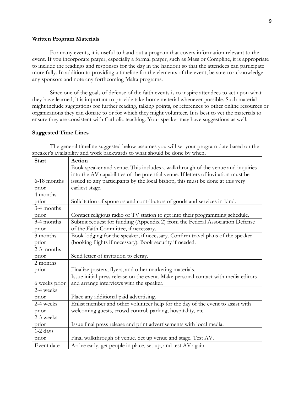#### **Written Program Materials**

For many events, it is useful to hand out a program that covers information relevant to the event. If you incorporate prayer, especially a formal prayer, such as Mass or Compline, it is appropriate to include the readings and responses for the day in the handout so that the attendees can participate more fully. In addition to providing a timeline for the elements of the event, be sure to acknowledge any sponsors and note any forthcoming Malta programs.

Since one of the goals of defense of the faith events is to inspire attendees to act upon what they have learned, it is important to provide take-home material whenever possible. Such material might include suggestions for further reading, talking points, or references to other online resources or organizations they can donate to or for which they might volunteer. It is best to vet the materials to ensure they are consistent with Catholic teaching. Your speaker may have suggestions as well.

#### **Suggested Time Lines**

The general timeline suggested below assumes you will set your program date based on the speaker's availability and work backwards to what should be done by when.

| <b>Start</b>  | Action                                                                             |
|---------------|------------------------------------------------------------------------------------|
|               | Book speaker and venue. This includes a walkthrough of the venue and inquiries     |
|               | into the AV capabilities of the potential venue. If letters of invitation must be  |
| 6-18 months   | issued to any participants by the local bishop, this must be done at this very     |
| prior         | earliest stage.                                                                    |
| 4 months      |                                                                                    |
| prior         | Solicitation of sponsors and contributors of goods and services in-kind.           |
| 3-4 months    |                                                                                    |
| prior         | Contact religious radio or TV station to get into their programming schedule.      |
| 3-4 months    | Submit request for funding (Appendix 2) from the Federal Association Defense       |
| prior         | of the Faith Committee, if necessary.                                              |
| 3 months      | Book lodging for the speaker, if necessary. Confirm travel plans of the speaker    |
| prior         | (booking flights if necessary). Book security if needed.                           |
| 2-3 months    |                                                                                    |
| prior         | Send letter of invitation to clergy.                                               |
| 2 months      |                                                                                    |
| prior         | Finalize posters, flyers, and other marketing materials.                           |
|               | Issue initial press release on the event. Make personal contact with media editors |
| 6 weeks prior | and arrange interviews with the speaker.                                           |
| 2-4 weeks     |                                                                                    |
| prior         | Place any additional paid advertising.                                             |
| 2-4 weeks     | Enlist member and other volunteer help for the day of the event to assist with     |
| prior         | welcoming guests, crowd control, parking, hospitality, etc.                        |
| 2-3 weeks     |                                                                                    |
| prior         | Issue final press release and print advertisements with local media.               |
| 1-2 days      |                                                                                    |
| prior         | Final walkthrough of venue. Set up venue and stage. Test AV.                       |
| Event date    | Arrive early, get people in place, set up, and test AV again.                      |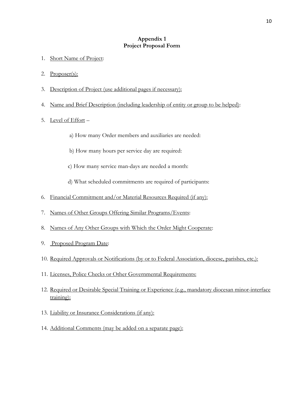## **Appendix 1 Project Proposal Form**

- 1. Short Name of Project:
- 2. Proposer(s):
- 3. Description of Project (use additional pages if necessary):
- 4. Name and Brief Description (including leadership of entity or group to be helped):
- 5. Level of Effort
	- a) How many Order members and auxiliaries are needed:
	- b) How many hours per service day are required:
	- c) How many service man-days are needed a month:
	- d) What scheduled commitments are required of participants:
- 6. Financial Commitment and/or Material Resources Required (if any):
- 7. Names of Other Groups Offering Similar Programs/Events:
- 8. Names of Any Other Groups with Which the Order Might Cooperate:
- 9. Proposed Program Date:
- 10. Required Approvals or Notifications (by or to Federal Association, diocese, parishes, etc.):
- 11. Licenses, Police Checks or Other Governmental Requirements:
- 12. Required or Desirable Special Training or Experience (e.g., mandatory diocesan minor-interface training):
- 13. Liability or Insurance Considerations (if any):
- 14. Additional Comments (may be added on a separate page):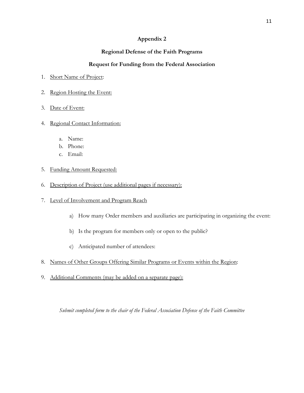# **Regional Defense of the Faith Programs**

# **Request for Funding from the Federal Association**

- 1. Short Name of Project:
- 2. Region Hosting the Event:
- 3. Date of Event:

# 4. Regional Contact Information:

- a. Name:
- b. Phone:
- c. Email:
- 5. Funding Amount Requested:
- 6. Description of Project (use additional pages if necessary):
- 7. Level of Involvement and Program Reach
	- a) How many Order members and auxiliaries are participating in organizing the event:
	- b) Is the program for members only or open to the public?
	- c) Anticipated number of attendees:
- 8. Names of Other Groups Offering Similar Programs or Events within the Region:
- 9. Additional Comments (may be added on a separate page):

*Submit completed form to the chair of the Federal Association Defense of the Faith Committee*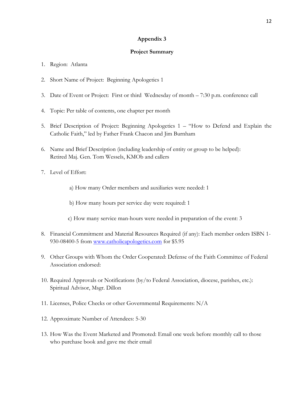## **Project Summary**

- 1. Region: Atlanta
- 2. Short Name of Project: Beginning Apologetics 1
- 3. Date of Event or Project: First or third Wednesday of month 7:30 p.m. conference call
- 4. Topic: Per table of contents, one chapter per month
- 5. Brief Description of Project: Beginning Apologetics 1 "How to Defend and Explain the Catholic Faith," led by Father Frank Chacon and Jim Burnham
- 6. Name and Brief Description (including leadership of entity or group to be helped): Retired Maj. Gen. Tom Wessels, KMOb and callers
- 7. Level of Effort:
	- a) How many Order members and auxiliaries were needed: 1
	- b) How many hours per service day were required: 1
	- c) How many service man-hours were needed in preparation of the event: 3
- 8. Financial Commitment and Material Resources Required (if any): Each member orders ISBN 1 930-08400-5 from [www.catholicapologetics.com](http://www.catholicapologetics.com/) for \$5.95
- 9. Other Groups with Whom the Order Cooperated: Defense of the Faith Committee of Federal Association endorsed:
- 10. Required Approvals or Notifications (by/to Federal Association, diocese, parishes, etc.): Spiritual Advisor, Msgr. Dillon
- 11. Licenses, Police Checks or other Governmental Requirements: N/A
- 12. Approximate Number of Attendees: 5-30
- 13. How Was the Event Marketed and Promoted: Email one week before monthly call to those who purchase book and gave me their email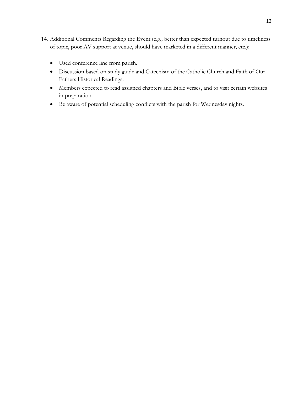- 14. Additional Comments Regarding the Event (e.g., better than expected turnout due to timeliness of topic, poor AV support at venue, should have marketed in a different manner, etc.):
	- Used conference line from parish.
	- Discussion based on study guide and Catechism of the Catholic Church and Faith of Our Fathers Historical Readings.
	- Members expected to read assigned chapters and Bible verses, and to visit certain websites in preparation.
	- Be aware of potential scheduling conflicts with the parish for Wednesday nights.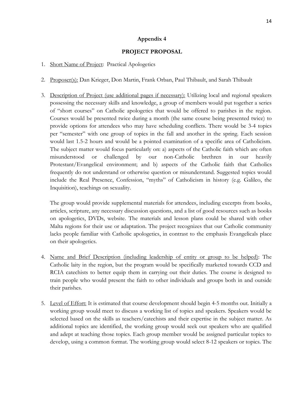# **PROJECT PROPOSAL**

- 1. Short Name of Project: Practical Apologetics
- 2. Proposer(s): Dan Krieger, Don Martin, Frank Orban, Paul Thibault, and Sarah Thibault
- 3. Description of Project (use additional pages if necessary): Utilizing local and regional speakers possessing the necessary skills and knowledge, a group of members would put together a series of "short courses" on Catholic apologetics that would be offered to parishes in the region. Courses would be presented twice during a month (the same course being presented twice) to provide options for attendees who may have scheduling conflicts. There would be 3-4 topics per "semester" with one group of topics in the fall and another in the spring. Each session would last 1.5-2 hours and would be a pointed examination of a specific area of Catholicism. The subject matter would focus particularly on: a) aspects of the Catholic faith which are often misunderstood or challenged by our non-Catholic brethren in our heavily Protestant/Evangelical environment; and b) aspects of the Catholic faith that Catholics frequently do not understand or otherwise question or misunderstand. Suggested topics would include the Real Presence, Confession, "myths" of Catholicism in history (e.g. Galileo, the Inquisition), teachings on sexuality.

The group would provide supplemental materials for attendees, including excerpts from books, articles, scripture, any necessary discussion questions, and a list of good resources such as books on apologetics, DVDs, website. The materials and lesson plans could be shared with other Malta regions for their use or adaptation. The project recognizes that our Catholic community lacks people familiar with Catholic apologetics, in contrast to the emphasis Evangelicals place on their apologetics.

- 4. Name and Brief Description (including leadership of entity or group to be helped): The Catholic laity in the region, but the program would be specifically marketed towards CCD and RCIA catechists to better equip them in carrying out their duties. The course is designed to train people who would present the faith to other individuals and groups both in and outside their parishes.
- 5. Level of Effort: It is estimated that course development should begin 4-5 months out. Initially a working group would meet to discuss a working list of topics and speakers. Speakers would be selected based on the skills as teachers/catechists and their expertise in the subject matter. As additional topics are identified, the working group would seek out speakers who are qualified and adept at teaching those topics. Each group member would be assigned particular topics to develop, using a common format. The working group would select 8-12 speakers or topics. The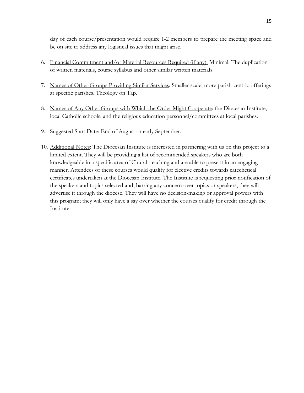day of each course/presentation would require 1-2 members to prepare the meeting space and be on site to address any logistical issues that might arise.

- 6. Financial Commitment and/or Material Resources Required (if any): Minimal. The duplication of written materials, course syllabus and other similar written materials.
- 7. Names of Other Groups Providing Similar Services: Smaller scale, more parish-centric offerings at specific parishes. Theology on Tap.
- 8. Names of Any Other Groups with Which the Order Might Cooperate: the Diocesan Institute, local Catholic schools, and the religious education personnel/committees at local parishes.
- 9. Suggested Start Date: End of August or early September.
- 10. Additional Notes: The Diocesan Institute is interested in partnering with us on this project to a limited extent. They will be providing a list of recommended speakers who are both knowledgeable in a specific area of Church teaching and are able to present in an engaging manner. Attendees of these courses would qualify for elective credits towards catechetical certificates undertaken at the Diocesan Institute. The Institute is requesting prior notification of the speakers and topics selected and, barring any concern over topics or speakers, they will advertise it through the diocese. They will have no decision-making or approval powers with this program; they will only have a say over whether the courses qualify for credit through the Institute.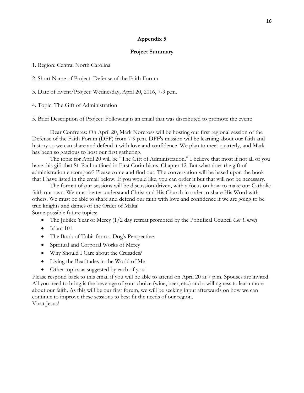#### **Project Summary**

1. Region: Central North Carolina

2. Short Name of Project: Defense of the Faith Forum

3. Date of Event/Project: Wednesday, April 20, 2016, 7-9 p.m.

4. Topic: The Gift of Administration

5. Brief Description of Project: Following is an email that was distributed to promote the event:

Dear Confreres: On April 20, Mark Norcross will be hosting our first regional session of the Defense of the Faith Forum (DFF) from 7-9 p.m. DFF's mission will be learning about our faith and history so we can share and defend it with love and confidence. We plan to meet quarterly, and Mark has been so gracious to host our first gathering.

The topic for April 20 will be "The Gift of Administration." I believe that most if not all of you have this gift that St. Paul outlined in First Corinthians, Chapter 12. But what does the gift of administration encompass? Please come and find out. The conversation will be based upon the book that I have listed in the email below. If you would like, you can order it but that will not be necessary.

The format of our sessions will be discussion-driven, with a focus on how to make our Catholic faith our own. We must better understand Christ and His Church in order to share His Word with others. We must be able to share and defend our faith with love and confidence if we are going to be true knights and dames of the Order of Malta! Some possible future topics:

The Jubilee Year of Mercy (1/2 day retreat promoted by the Pontifical Council *Cor Unum*)

- $\bullet$  Islam 101
- The Book of Tobit from a Dog's Perspective
- Spiritual and Corporal Works of Mercy
- Why Should I Care about the Crusades?
- Living the Beatitudes in the World of Me
- Other topics as suggested by each of you!

Please respond back to this email if you will be able to attend on April 20 at 7 p.m. Spouses are invited. All you need to bring is the beverage of your choice (wine, beer, etc.) and a willingness to learn more about our faith. As this will be our first forum, we will be seeking input afterwards on how we can continue to improve these sessions to best fit the needs of our region. Vivat Jesus!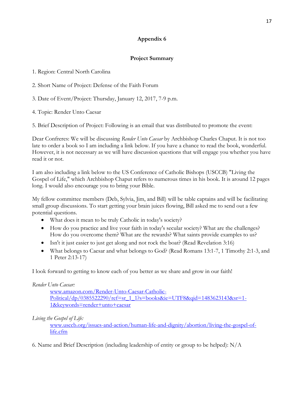# **Project Summary**

1. Region: Central North Carolina

2. Short Name of Project: Defense of the Faith Forum

3. Date of Event/Project: Thursday, January 12, 2017, 7-9 p.m.

4. Topic: Render Unto Caesar

5. Brief Description of Project: Following is an email that was distributed to promote the event:

Dear Confreres: We will be discussing *Render Unto Caesar* by Archbishop Charles Chaput. It is not too late to order a book so I am including a link below. If you have a chance to read the book, wonderful. However, it is not necessary as we will have discussion questions that will engage you whether you have read it or not.

I am also including a link below to the US Conference of Catholic Bishops (USCCB) "Living the Gospel of Life," which Archbishop Chaput refers to numerous times in his book. It is around 12 pages long. I would also encourage you to bring your Bible.

My fellow committee members (Deb, Sylvia, Jim, and Bill) will be table captains and will be facilitating small group discussions. To start getting your brain juices flowing, Bill asked me to send out a few potential questions.

- What does it mean to be truly Catholic in today's society?
- How do you practice and live your faith in today's secular society? What are the challenges? How do you overcome them? What are the rewards? What saints provide examples to us?
- Isn't it just easier to just get along and not rock the boat? (Read Revelation 3:16)
- What belongs to Caesar and what belongs to God? (Read Romans 13:1-7, 1 Timothy 2:1-3, and 1 Peter 2:13-17)

I look forward to getting to know each of you better as we share and grow in our faith!

# *Render Unto Caesar:*

[www.amazon.com/Render-Unto-Caesar-Catholic-](http://www.amazon.com/Render-Unto-Caesar-Catholic-Political/dp/0385522290/ref=sr_1_1?s=books&ie=UTF8&qid=1483623143&sr=1-1&keywords=render+unto+caesar)[Political/dp/0385522290/ref=sr\\_1\\_1?s=books&ie=UTF8&qid=1483623143&sr=1-](http://www.amazon.com/Render-Unto-Caesar-Catholic-Political/dp/0385522290/ref=sr_1_1?s=books&ie=UTF8&qid=1483623143&sr=1-1&keywords=render+unto+caesar) [1&keywords=render+unto+caesar](http://www.amazon.com/Render-Unto-Caesar-Catholic-Political/dp/0385522290/ref=sr_1_1?s=books&ie=UTF8&qid=1483623143&sr=1-1&keywords=render+unto+caesar)

*Living the Gospel of Life:* 

[www.usccb.org/issues-and-action/human-life-and-dignity/abortion/living-the-gospel-of](http://www.usccb.org/issues-and-action/human-life-and-dignity/abortion/living-the-gospel-of-life.cfm)[life.cfm](http://www.usccb.org/issues-and-action/human-life-and-dignity/abortion/living-the-gospel-of-life.cfm) 

6. Name and Brief Description (including leadership of entity or group to be helped): N/A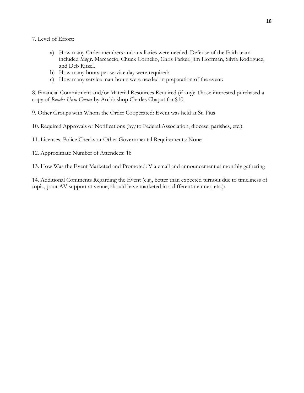- 7. Level of Effort:
	- a) How many Order members and auxiliaries were needed: Defense of the Faith team included Msgr. Marcaccio, Chuck Cornelio, Chris Parker, Jim Hoffman, Silvia Rodriguez, and Deb Ritzel.
	- b) How many hours per service day were required:
	- c) How many service man-hours were needed in preparation of the event:

8. Financial Commitment and/or Material Resources Required (if any): Those interested purchased a copy of *Render Unto Caesar* by Archbishop Charles Chaput for \$10.

9. Other Groups with Whom the Order Cooperated: Event was held at St. Pius

10. Required Approvals or Notifications (by/to Federal Association, diocese, parishes, etc.):

11. Licenses, Police Checks or Other Governmental Requirements: None

12. Approximate Number of Attendees: 18

13. How Was the Event Marketed and Promoted: Via email and announcement at monthly gathering

14. Additional Comments Regarding the Event (e.g., better than expected turnout due to timeliness of topic, poor AV support at venue, should have marketed in a different manner, etc.):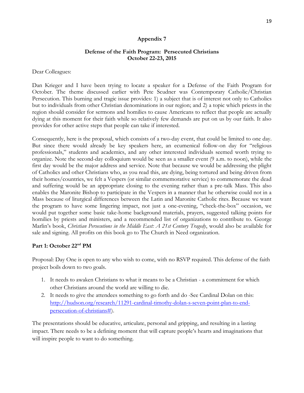## **Defense of the Faith Program: Persecuted Christians October 22-23, 2015**

#### Dear Colleagues:

Dan Krieger and I have been trying to locate a speaker for a Defense of the Faith Program for October. The theme discussed earlier with Pete Scudner was Contemporary Catholic/Christian Persecution. This burning and tragic issue provides: 1) a subject that is of interest not only to Catholics but to individuals from other Christian denominations in our region; and 2) a topic which priests in the region should consider for sermons and homilies to cause Americans to reflect that people are actually dying at this moment for their faith while so relatively few demands are put on us by our faith. It also provides for other active steps that people can take if interested.

Consequently, here is the proposal, which consists of a two-day event, that could be limited to one day. But since there would already be key speakers here, an ecumenical follow-on day for "religious professionals," students and academics, and any other interested individuals seemed worth trying to organize. Note the second-day colloquium would be seen as a smaller event (9 a.m. to noon), while the first day would be the major address and service. Note that because we would be addressing the plight of Catholics and other Christians who, as you read this, are dying, being tortured and being driven from their homes/countries, we felt a Vespers (or similar commemorative service) to commemorate the dead and suffering would be an appropriate closing to the evening rather than a pre-talk Mass. This also enables the Maronite Bishop to participate in the Vespers in a manner that he otherwise could not in a Mass because of liturgical differences between the Latin and Maronite Catholic rites. Because we want the program to have some lingering impact, not just a one-evening, "check-the-box" occasion, we would put together some basic take-home background materials, prayers, suggested talking points for homilies by priests and ministers, and a recommended list of organizations to contribute to. George Marlin's book, *Christian Persecutions in the Middle East: A 21st Century Tragedy*, would also be available for sale and signing. All profits on this book go to The Church in Need organization.

# **Part 1: October 22nd PM**

Proposal: Day One is open to any who wish to come, with no RSVP required. This defense of the faith project boils down to two goals.

- 1. It needs to awaken Christians to what it means to be a Christian a commitment for which other Christians around the world are willing to die.
- 2. It needs to give the attendees something to go forth and do -See Cardinal Dolan on this: [http://hudson.org/research/11291-cardinal-timothy-dolan-s-seven-point-plan-to-end](http://hudson.org/research/11291-cardinal-timothy-dolan-s-seven-point-plan-to-end-persecution-of-christians)[persecution-of-christians#\)](http://hudson.org/research/11291-cardinal-timothy-dolan-s-seven-point-plan-to-end-persecution-of-christians).

The presentations should be educative, articulate, personal and gripping, and resulting in a lasting impact. There needs to be a defining moment that will capture people's hearts and imaginations that will inspire people to want to do something.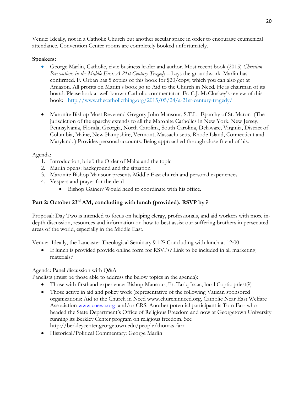Venue: Ideally, not in a Catholic Church but another secular space in order to encourage ecumenical attendance. Convention Center rooms are completely booked unfortunately.

# **Speakers:**

- George Marlin, Catholic, civic business leader and author. Most recent book (2015) *Christian Persecutions in the Middle East: A 21st Century Tragedy* – Lays the groundwork. Marlin has confirmed. F. Orban has 5 copies of this book for \$20/copy, which you can also get at Amazon. All profits on Marlin's book go to Aid to the Church in Need. He is chairman of its board. Please look at well-known Catholic commentator Fr. C.J. McCloskey's review of this book: http://www.thecatholicthing.org/2015/05/24/a-21st-century-tragedy/
- Maronite Bishop Most Reverend Gregory John Mansour, S.T.L. Eparchy of St. Maron (The jurisdiction of the eparchy extends to all the Maronite Catholics in New York, New Jersey, Pennsylvania, Florida, Georgia, North Carolina, South Carolina, Delaware, Virginia, District of Columbia, Maine, New Hampshire, Vermont, Massachusetts, Rhode Island, Connecticut and Maryland. ) Provides personal accounts. Being approached through close friend of his.

# Agenda:

- 1. Introduction, brief: the Order of Malta and the topic
- 2. Marlin opens: background and the situation
- 3. Maronite Bishop Mansour presents Middle East church and personal experiences
- 4. Vespers and prayer for the dead
	- Bishop Gainer? Would need to coordinate with his office.

# **Part 2: October 23rd AM, concluding with lunch (provided). RSVP by ?**

Proposal: Day Two is intended to focus on helping clergy, professionals, and aid workers with more indepth discussion, resources and information on how to best assist our suffering brothers in persecuted areas of the world, especially in the Middle East.

Venue:Ideally, the Lancaster Theological Seminary 9-12? Concluding with lunch at 12:00

 If lunch is provided provide online form for RSVPs? Link to be included in all marketing materials?

Agenda: Panel discussion with Q&A

Panelists (must be those able to address the below topics in the agenda):

- Those with firsthand experience: Bishop Mansour, Fr. Tariq Isaac, local Coptic priest(?)
- Those active in aid and policy work (representative of the following Vatican sponsored organizations: Aid to the Church in Need www.churchinneed.org, Catholic Near East Welfare Association [www.cnewa.org](http://www.cnewa.org/) and/or CRS. Another potential participant is Tom Farr who headed the State Department's Office of Religious Freedom and now at Georgetown University running its Berkley Center program on religious freedom. See http://berkleycenter.georgetown.edu/people/thomas-farr
- Historical/Political Commentary: George Marlin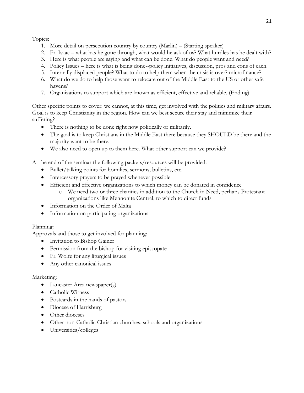Topics:

- 1. More detail on persecution country by country (Marlin) (Starting speaker)
- 2. Fr. Isaac what has he gone through, what would he ask of us? What hurdles has he dealt with?
- 3. Here is what people are saying and what can be done. What do people want and need?
- 4. Policy Issues here is what is being done--policy initiatives, discussion, pros and cons of each.
- 5. Internally displaced people? What to do to help them when the crisis is over? microfinance?
- 6. What do we do to help those want to relocate out of the Middle East to the US or other safehavens?
- 7. Organizations to support which are known as efficient, effective and reliable. (Ending)

Other specific points to cover: we cannot, at this time, get involved with the politics and military affairs. Goal is to keep Christianity in the region. How can we best secure their stay and minimize their suffering?

- There is nothing to be done right now politically or militarily.
- The goal is to keep Christians in the Middle East there because they SHOULD be there and the majority want to be there.
- We also need to open up to them here. What other support can we provide?

At the end of the seminar the following packets/resources will be provided:

- Bullet/talking points for homilies, sermons, bulletins, etc.
- Intercessory prayers to be prayed whenever possible
- Efficient and effective organizations to which money can be donated in confidence
	- o We need two or three charities in addition to the Church in Need, perhaps Protestant organizations like Mennonite Central, to which to direct funds
- Information on the Order of Malta
- Information on participating organizations

# Planning:

Approvals and those to get involved for planning:

- Invitation to Bishop Gainer
- Permission from the bishop for visiting episcopate
- Fr. Wolfe for any liturgical issues
- Any other canonical issues

# Marketing:

- Lancaster Area newspaper(s)
- Catholic Witness
- Postcards in the hands of pastors
- Diocese of Harrisburg
- Other dioceses
- Other non-Catholic Christian churches, schools and organizations
- Universities/colleges